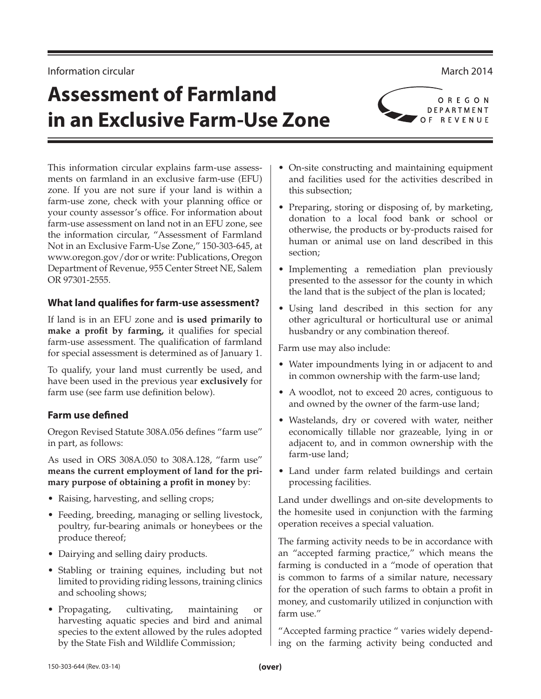#### Information circular and the control of the control of the control of the control of the control of the control of the control of the control of the control of the control of the control of the control of the control of th

# **Assessment of Farmland in an Exclusive Farm-Use Zone**

This information circular explains farm-use assessments on farmland in an exclusive farm-use (EFU) zone. If you are not sure if your land is within a farm-use zone, check with your planning office or your county assessor's office. For information about farm-use assessment on land not in an EFU zone, see the information circular, "Assessment of Farmland Not in an Exclusive Farm-Use Zone," 150-303-645, at www.oregon.gov/dor or write: Publications, Oregon Department of Revenue, 955 Center Street NE, Salem OR 97301-2555.

#### **What land qualifies for farm-use assessment?**

If land is in an EFU zone and **is used primarily to make a profit by farming,** it qualifies for special farm-use assessment. The qualification of farmland for special assessment is determined as of January 1.

To qualify, your land must currently be used, and have been used in the previous year **exclusively** for farm use (see farm use definition below).

# **Farm use defined**

Oregon Revised Statute 308A.056 defines "farm use" in part, as follows:

As used in ORS 308A.050 to 308A.128, "farm use" **means the current employment of land for the primary purpose of obtaining a profit in money** by:

- Raising, harvesting, and selling crops;
- Feeding, breeding, managing or selling livestock, poultry, fur-bearing animals or honeybees or the produce thereof;
- Dairying and selling dairy products.
- Stabling or training equines, including but not limited to providing riding lessons, training clinics and schooling shows;
- Propagating, cultivating, maintaining or harvesting aquatic species and bird and animal species to the extent allowed by the rules adopted by the State Fish and Wildlife Commission;
- On-site constructing and maintaining equipment and facilities used for the activities described in this subsection;
- Preparing, storing or disposing of, by marketing, donation to a local food bank or school or otherwise, the products or by-products raised for human or animal use on land described in this section;
- Implementing a remediation plan previously presented to the assessor for the county in which the land that is the subject of the plan is located;
- Using land described in this section for any other agricultural or horticultural use or animal husbandry or any combination thereof.

Farm use may also include:

- Water impoundments lying in or adjacent to and in common ownership with the farm-use land;
- A woodlot, not to exceed 20 acres, contiguous to and owned by the owner of the farm-use land;
- Wastelands, dry or covered with water, neither economically tillable nor grazeable, lying in or adjacent to, and in common ownership with the farm-use land;
- Land under farm related buildings and certain processing facilities.

Land under dwellings and on-site developments to the homesite used in conjunction with the farming operation receives a special valuation.

The farming activity needs to be in accordance with an "accepted farming practice," which means the farming is conducted in a "mode of operation that is common to farms of a similar nature, necessary for the operation of such farms to obtain a profit in money, and customarily utilized in conjunction with farm use."

"Accepted farming practice " varies widely depending on the farming activity being conducted and

OREGON DEPARTMENT OF REVENUE